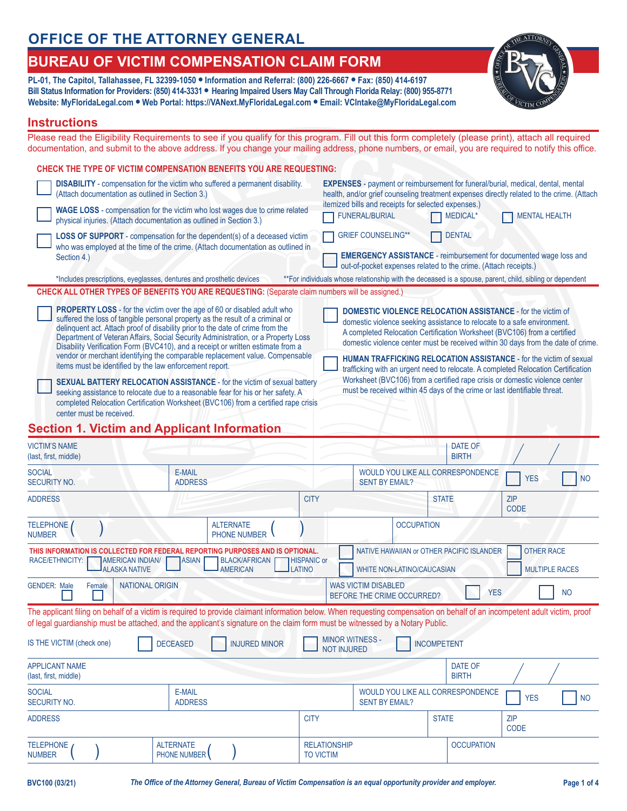# **OFFICE OF THE ATTORNEY GENERAL**

# **BUREAU OF VICTIM COMPENSATION CLAIM FORM**

**PL-01, The Capitol, Tallahassee, FL 32399-1050 • Information and Referral: (800) 226-6667 • Fax: (850) 414-6197 Bill Status Information for Providers: (850) 414-3331 • Hearing Impaired Users May Call Through Florida Relay: (800) 955-8771 Website: MyFloridaLegal.com • Web Portal: https://VANext.MyFloridaLegal.com • Email: VCIntake@MyFloridaLegal.com**



### **Instructions**

Please read the Eligibility Requirements to see if you qualify for this program. Fill out this form completely (please print), attach all required documentation, and submit to the above address. If you change your mailing address, phone numbers, or email, you are required to notify this office.

| CHECK THE TYPE OF VICTIM COMPENSATION BENEFITS YOU ARE REQUESTING:                                                                                                                                                                                                                                                                                                                                                         |                                                                                                                                                                                                                                                                                                               |
|----------------------------------------------------------------------------------------------------------------------------------------------------------------------------------------------------------------------------------------------------------------------------------------------------------------------------------------------------------------------------------------------------------------------------|---------------------------------------------------------------------------------------------------------------------------------------------------------------------------------------------------------------------------------------------------------------------------------------------------------------|
| <b>DISABILITY</b> - compensation for the victim who suffered a permanent disability.<br>(Attach documentation as outlined in Section 3.)                                                                                                                                                                                                                                                                                   | <b>EXPENSES</b> - payment or reimbursement for funeral/burial, medical, dental, mental<br>health, and/or grief counseling treatment expenses directly related to the crime. (Attach                                                                                                                           |
| <b>WAGE LOSS</b> - compensation for the victim who lost wages due to crime related<br>physical injuries. (Attach documentation as outlined in Section 3.)                                                                                                                                                                                                                                                                  | itemized bills and receipts for selected expenses.)<br><b>FUNERAL/BURIAL</b><br><b>MEDICAL*</b><br><b>MENTAL HEALTH</b>                                                                                                                                                                                       |
| <b>LOSS OF SUPPORT</b> - compensation for the dependent(s) of a deceased victim<br>who was employed at the time of the crime. (Attach documentation as outlined in                                                                                                                                                                                                                                                         | <b>GRIEF COUNSELING**</b><br><b>DENTAL</b>                                                                                                                                                                                                                                                                    |
| Section 4.)                                                                                                                                                                                                                                                                                                                                                                                                                | <b>EMERGENCY ASSISTANCE</b> - reimbursement for documented wage loss and<br>out-of-pocket expenses related to the crime. (Attach receipts.)                                                                                                                                                                   |
| *Includes prescriptions, eyeglasses, dentures and prosthetic devices                                                                                                                                                                                                                                                                                                                                                       | ** For individuals whose relationship with the deceased is a spouse, parent, child, sibling or dependent                                                                                                                                                                                                      |
| <b>CHECK ALL OTHER TYPES OF BENEFITS YOU ARE REQUESTING: (Separate claim numbers will be assigned.)</b>                                                                                                                                                                                                                                                                                                                    |                                                                                                                                                                                                                                                                                                               |
| <b>PROPERTY LOSS</b> - for the victim over the age of 60 or disabled adult who<br>suffered the loss of tangible personal property as the result of a criminal or<br>delinquent act. Attach proof of disability prior to the date of crime from the<br>Department of Veteran Affairs, Social Security Administration, or a Property Loss<br>Disability Verification Form (BVC410), and a receipt or written estimate from a | <b>DOMESTIC VIOLENCE RELOCATION ASSISTANCE - for the victim of</b><br>domestic violence seeking assistance to relocate to a safe environment.<br>A completed Relocation Certification Worksheet (BVC106) from a certified<br>domestic violence center must be received within 30 days from the date of crime. |
| vendor or merchant identifying the comparable replacement value. Compensable                                                                                                                                                                                                                                                                                                                                               |                                                                                                                                                                                                                                                                                                               |

items must be identified by the law enforcement report. **SEXUAL BATTERY RELOCATION ASSISTANCE** - for the victim of sexual battery seeking assistance to relocate due to a reasonable fear for his or her safety. A completed Relocation Certification Worksheet (BVC106) from a certified rape crisis center must be received.

**HUMAN TRAFFICKING RELOCATION ASSISTANCE** - for the victim of sexual trafficking with an urgent need to relocate. A completed Relocation Certification Worksheet (BVC106) from a certified rape crisis or domestic violence center must be received within 45 days of the crime or last identifiable threat.

## **Section 1. Victim and Applicant Information**

| <b>VICTIM'S NAME</b><br>(last, first, middle)                                                                                                                                                                                                                                                                                                                                         |                                                                                                               |                                         |                                         |                       |                   | DATE OF<br><b>BIRTH</b>           |                           |
|---------------------------------------------------------------------------------------------------------------------------------------------------------------------------------------------------------------------------------------------------------------------------------------------------------------------------------------------------------------------------------------|---------------------------------------------------------------------------------------------------------------|-----------------------------------------|-----------------------------------------|-----------------------|-------------------|-----------------------------------|---------------------------|
| <b>SOCIAL</b><br><b>SECURITY NO.</b>                                                                                                                                                                                                                                                                                                                                                  | E-MAIL<br><b>ADDRESS</b>                                                                                      |                                         |                                         | <b>SENT BY EMAIL?</b> |                   | WOULD YOU LIKE ALL CORRESPONDENCE | <b>YES</b><br><b>NO</b>   |
| <b>ADDRESS</b>                                                                                                                                                                                                                                                                                                                                                                        |                                                                                                               |                                         | <b>CITY</b>                             |                       |                   | <b>STATE</b>                      | ZIP<br>CODE               |
| <b>TELEPHONE</b><br><b>NUMBER</b>                                                                                                                                                                                                                                                                                                                                                     |                                                                                                               | <b>ALTERNATE</b><br><b>PHONE NUMBER</b> |                                         |                       | <b>OCCUPATION</b> |                                   |                           |
| <b>OTHER RACE</b><br>THIS INFORMATION IS COLLECTED FOR FEDERAL REPORTING PURPOSES AND IS OPTIONAL.<br>NATIVE HAWAIIAN or OTHER PACIFIC ISLANDER<br>RACE/ETHNICITY:<br><b>AMERICAN INDIAN/</b><br><b>ASIAN</b><br><b>BLACK/AFRICAN</b><br><b>HISPANIC or</b><br><b>ALASKA NATIVE</b><br><b>LATINO</b><br><b>MULTIPLE RACES</b><br><b>AMERICAN</b><br><b>WHITE NON-LATINO/CAUCASIAN</b> |                                                                                                               |                                         |                                         |                       |                   |                                   |                           |
| <b>GENDER: Male</b><br>Female                                                                                                                                                                                                                                                                                                                                                         | <b>NATIONAL ORIGIN</b><br><b>WAS VICTIM DISABLED</b><br><b>YES</b><br><b>NO</b><br>BEFORE THE CRIME OCCURRED? |                                         |                                         |                       |                   |                                   |                           |
| The applicant filing on behalf of a victim is required to provide claimant information below. When requesting compensation on behalf of an incompetent adult victim, proof<br>of legal guardianship must be attached, and the applicant's signature on the claim form must be witnessed by a Notary Public.                                                                           |                                                                                                               |                                         |                                         |                       |                   |                                   |                           |
| <b>MINOR WITNESS -</b><br>IS THE VICTIM (check one)<br><b>DECEASED</b><br><b>INJURED MINOR</b><br><b>INCOMPETENT</b><br><b>NOT INJURED</b>                                                                                                                                                                                                                                            |                                                                                                               |                                         |                                         |                       |                   |                                   |                           |
| <b>APPLICANT NAME</b><br>(last, first, middle)                                                                                                                                                                                                                                                                                                                                        |                                                                                                               |                                         |                                         |                       |                   | DATE OF<br><b>BIRTH</b>           |                           |
| <b>SOCIAL</b><br><b>SECURITY NO.</b>                                                                                                                                                                                                                                                                                                                                                  | E-MAIL<br><b>ADDRESS</b>                                                                                      |                                         |                                         | <b>SENT BY EMAIL?</b> |                   | WOULD YOU LIKE ALL CORRESPONDENCE | <b>YES</b><br><b>NO</b>   |
| <b>ADDRESS</b>                                                                                                                                                                                                                                                                                                                                                                        |                                                                                                               |                                         | <b>CITY</b>                             |                       |                   | <b>STATE</b>                      | <b>ZIP</b><br><b>CODE</b> |
| <b>TELEPHONE</b><br><b>NUMBER</b>                                                                                                                                                                                                                                                                                                                                                     | <b>ALTERNATE</b><br><b>PHONE NUMBER</b>                                                                       |                                         | <b>RELATIONSHIP</b><br><b>TO VICTIM</b> |                       |                   | <b>OCCUPATION</b>                 |                           |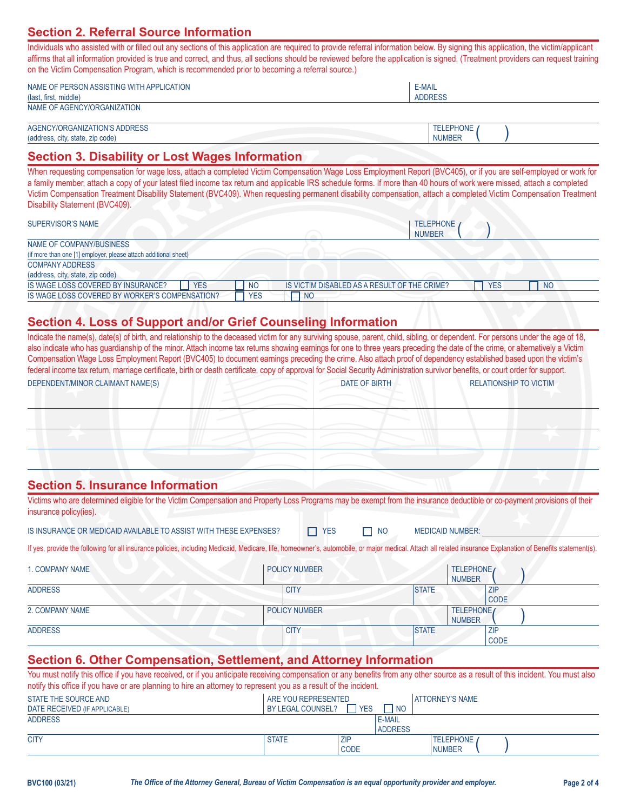## **Section 2. Referral Source Information**

Individuals who assisted with or filled out any sections of this application are required to provide referral information below. By signing this application, the victim/applicant affirms that all information provided is true and correct, and thus, all sections should be reviewed before the application is signed. (Treatment providers can request training on the Victim Compensation Program, which is recommended prior to becoming a referral source.)

| NAME OF PERSON ASSISTING WITH APPLICATION | E-MAIL         |  |
|-------------------------------------------|----------------|--|
| (last, first, middle)                     | <b>ADDRESS</b> |  |
| NAME OF AGENCY/ORGANIZATION               |                |  |

 $($  )

| (address, city, state, zip code) | NUMBEF           |
|----------------------------------|------------------|
| AGENCY/ORGANIZATION'S ADDRESS    | <b>TELEPHONE</b> |

## **Section 3. Disability or Lost Wages Information**

When requesting compensation for wage loss, attach a completed Victim Compensation Wage Loss Employment Report (BVC405), or if you are self-employed or work for a family member, attach a copy of your latest filed income tax return and applicable IRS schedule forms. If more than 40 hours of work were missed, attach a completed Victim Compensation Treatment Disability Statement (BVC409). When requesting permanent disability compensation, attach a completed Victim Compensation Treatment Disability Statement (BVC409).

#### SUPERVISOR'S NAME TELEPHONE A REPORT OF THE CHARGE AND THE CHARGE ASSAULT AND THE CHARGE ASSAULT AND THE CHARGE ASSAULT AND THE CHARGE ASSAULT AND THE CHARGE ASSAULT AND THE CHARGE ASSAULT AND THE CHARGE ASSAULT AND THE CH

| <b>OUFLINYIOUR O INAIVIL</b>                                    | I LLLF I IVINL                                                               |
|-----------------------------------------------------------------|------------------------------------------------------------------------------|
|                                                                 | <b>NUMBER</b>                                                                |
| NAME OF COMPANY/BUSINESS                                        |                                                                              |
| (if more than one [1] employer, please attach additional sheet) |                                                                              |
| <b>COMPANY ADDRESS</b>                                          |                                                                              |
| (address, city, state, zip code)                                |                                                                              |
| <b>YES</b><br>IS WAGE LOSS COVERED BY INSURANCE?<br><b>NO</b>   | IS VICTIM DISABLED AS A RESULT OF THE CRIME?<br><b>YES</b><br>N <sub>O</sub> |
| IS WAGE LOSS COVERED BY WORKER'S COMPENSATION?<br><b>YES</b>    | <sub>NO</sub>                                                                |

## **Section 4. Loss of Support and/or Grief Counseling Information**

|                                                                   | Indicate the name(s), date(s) of birth, and relationship to the deceased victim for any surviving spouse, parent, child, sibling, or dependent. For persons under the age of 18,<br>also indicate who has guardianship of the minor. Attach income tax returns showing earnings for one to three years preceding the date of the crime, or alternatively a Victim<br>Compensation Wage Loss Employment Report (BVC405) to document earnings preceding the crime. Also attach proof of dependency established based upon the victim's<br>federal income tax return, marriage certificate, birth or death certificate, copy of approval for Social Security Administration survivor benefits, or court order for support. |                            |                             |                               |
|-------------------------------------------------------------------|-------------------------------------------------------------------------------------------------------------------------------------------------------------------------------------------------------------------------------------------------------------------------------------------------------------------------------------------------------------------------------------------------------------------------------------------------------------------------------------------------------------------------------------------------------------------------------------------------------------------------------------------------------------------------------------------------------------------------|----------------------------|-----------------------------|-------------------------------|
| DEPENDENT/MINOR CLAIMANT NAME(S)                                  | <b>DATE OF BIRTH</b>                                                                                                                                                                                                                                                                                                                                                                                                                                                                                                                                                                                                                                                                                                    |                            |                             | <b>RELATIONSHIP TO VICTIM</b> |
|                                                                   |                                                                                                                                                                                                                                                                                                                                                                                                                                                                                                                                                                                                                                                                                                                         |                            |                             |                               |
|                                                                   |                                                                                                                                                                                                                                                                                                                                                                                                                                                                                                                                                                                                                                                                                                                         |                            |                             |                               |
|                                                                   |                                                                                                                                                                                                                                                                                                                                                                                                                                                                                                                                                                                                                                                                                                                         |                            |                             |                               |
|                                                                   |                                                                                                                                                                                                                                                                                                                                                                                                                                                                                                                                                                                                                                                                                                                         |                            |                             |                               |
|                                                                   |                                                                                                                                                                                                                                                                                                                                                                                                                                                                                                                                                                                                                                                                                                                         |                            |                             |                               |
| <b>Section 5. Insurance Information</b>                           |                                                                                                                                                                                                                                                                                                                                                                                                                                                                                                                                                                                                                                                                                                                         |                            |                             |                               |
| insurance policy(ies).                                            | Victims who are determined eligible for the Victim Compensation and Property Loss Programs may be exempt from the insurance deductible or co-payment provisions of their                                                                                                                                                                                                                                                                                                                                                                                                                                                                                                                                                |                            |                             |                               |
| IS INSURANCE OR MEDICAID AVAILABLE TO ASSIST WITH THESE EXPENSES? | <b>YES</b><br>П                                                                                                                                                                                                                                                                                                                                                                                                                                                                                                                                                                                                                                                                                                         | $\Box$ NO                  | <b>MEDICAID NUMBER:</b>     |                               |
|                                                                   | If yes, provide the following for all insurance policies, including Medicaid, Medicare, life, homeowner's, automobile, or major medical. Attach all related insurance Explanation of Benefits statement(s).                                                                                                                                                                                                                                                                                                                                                                                                                                                                                                             |                            |                             |                               |
| 1. COMPANY NAME                                                   | <b>POLICY NUMBER</b>                                                                                                                                                                                                                                                                                                                                                                                                                                                                                                                                                                                                                                                                                                    |                            | TELEPHONE                   |                               |
|                                                                   |                                                                                                                                                                                                                                                                                                                                                                                                                                                                                                                                                                                                                                                                                                                         |                            | <b>NUMBER</b>               |                               |
| <b>ADDRESS</b>                                                    | <b>CITY</b>                                                                                                                                                                                                                                                                                                                                                                                                                                                                                                                                                                                                                                                                                                             | <b>STATE</b>               | <b>ZIP</b><br>CODE          |                               |
| 2. COMPANY NAME                                                   | <b>POLICY NUMBER</b>                                                                                                                                                                                                                                                                                                                                                                                                                                                                                                                                                                                                                                                                                                    |                            | TELEPHONE                   |                               |
| <b>ADDRESS</b>                                                    | <b>CITY</b>                                                                                                                                                                                                                                                                                                                                                                                                                                                                                                                                                                                                                                                                                                             | <b>STATE</b>               | <b>NUMBER</b><br><b>ZIP</b> |                               |
|                                                                   |                                                                                                                                                                                                                                                                                                                                                                                                                                                                                                                                                                                                                                                                                                                         |                            | CODE                        |                               |
|                                                                   | Section 6. Other Compensation, Settlement, and Attorney Information                                                                                                                                                                                                                                                                                                                                                                                                                                                                                                                                                                                                                                                     |                            |                             |                               |
|                                                                   | You must notify this office if you have received, or if you anticipate receiving compensation or any benefits from any other source as a result of this incident. You must also<br>notify this office if you have or are planning to hire an attorney to represent you as a result of the incident.                                                                                                                                                                                                                                                                                                                                                                                                                     |                            |                             |                               |
| <b>STATE THE SOURCE AND</b>                                       | ARE YOU REPRESENTED                                                                                                                                                                                                                                                                                                                                                                                                                                                                                                                                                                                                                                                                                                     |                            | <b>ATTORNEY'S NAME</b>      |                               |
| DATE RECEIVED (IF APPLICABLE)<br><b>ADDRESS</b>                   | $\Box$ YES<br>BY LEGAL COUNSEL?                                                                                                                                                                                                                                                                                                                                                                                                                                                                                                                                                                                                                                                                                         | $\Box$ NO<br><b>E-MAIL</b> |                             |                               |
|                                                                   |                                                                                                                                                                                                                                                                                                                                                                                                                                                                                                                                                                                                                                                                                                                         | <b>ADDRESS</b>             |                             |                               |

CODE NUMBER

 $($  )

CITY STATE ZIP TELEPHONE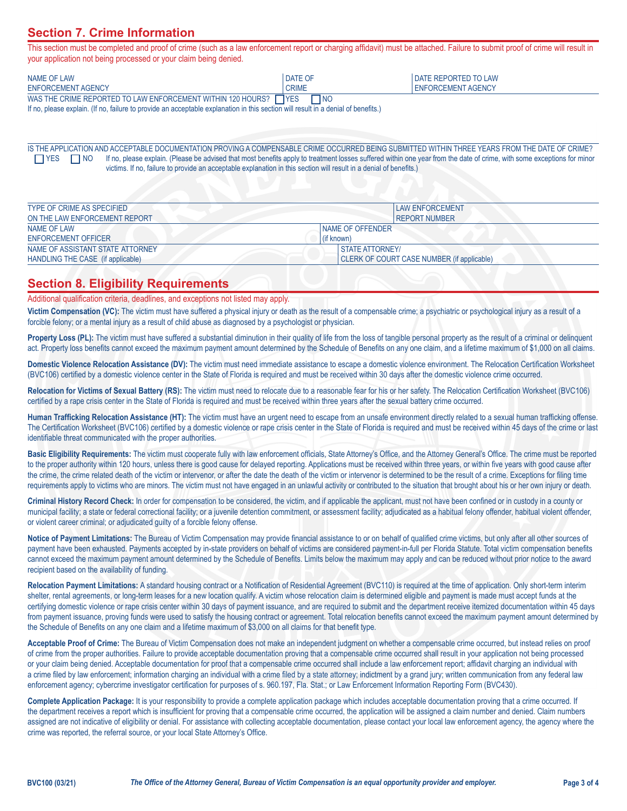## **Section 7. Crime Information**

This section must be completed and proof of crime (such as a law enforcement report or charging affidavit) must be attached. Failure to submit proof of crime will result in your application not being processed or your claim being denied.

| NAME OF LAW                                                   | DATE OF                 | <b>I DATE REPORTED TO LAW</b> |
|---------------------------------------------------------------|-------------------------|-------------------------------|
| ENFORCEMENT AGENCY                                            | <b>CRIME</b>            | <b>I ENFORCEMENT AGENCY</b>   |
| WAS THE CRIME REPORTED TO LAW ENFORCEMENT WITHIN 120 HOURS? [ | $\neg$ NO<br>$\Box$ YES |                               |

If no, please explain. (If no, failure to provide an acceptable explanation in this section will result in a denial of benefits.)

IS THE APPLICATION AND ACCEPTABLE DOCUMENTATION PROVING A COMPENSABLE CRIME OCCURRED BEING SUBMITTED WITHIN THREE YEARS FROM THE DATE OF CRIME? TYES NO If no, please explain. (Please be advised that most benefits apply to treatment losses suffered within one year from the date of crime, with some exceptions for minor victims. If no, failure to provide an acceptable explanation in this section will result in a denial of benefits.)

| TYPE OF CRIME AS SPECIFIED        | <b>LAW ENFORCEMENT</b>                     |
|-----------------------------------|--------------------------------------------|
| ON THE LAW ENFORCEMENT REPORT     | I REPORT NUMBER                            |
| NAME OF LAW                       | NAME OF OFFENDER                           |
| ENFORCEMENT OFFICER               | (if known)                                 |
| NAME OF ASSISTANT STATE ATTORNEY  | <b>STATE ATTORNEY/</b>                     |
| HANDLING THE CASE (if applicable) | CLERK OF COURT CASE NUMBER (if applicable) |

## **Section 8. Eligibility Requirements**

Additional qualification criteria, deadlines, and exceptions not listed may apply.

**Victim Compensation (VC):** The victim must have suffered a physical injury or death as the result of a compensable crime; a psychiatric or psychological injury as a result of a forcible felony; or a mental injury as a result of child abuse as diagnosed by a psychologist or physician.

Property Loss (PL): The victim must have suffered a substantial diminution in their quality of life from the loss of tangible personal property as the result of a criminal or delinquent act. Property loss benefits cannot exceed the maximum payment amount determined by the Schedule of Benefits on any one claim, and a lifetime maximum of \$1,000 on all claims.

**Domestic Violence Relocation Assistance (DV):** The victim must need immediate assistance to escape a domestic violence environment. The Relocation Certification Worksheet (BVC106) certified by a domestic violence center in the State of Florida is required and must be received within 30 days after the domestic violence crime occurred.

**Relocation for Victims of Sexual Battery (RS):** The victim must need to relocate due to a reasonable fear for his or her safety. The Relocation Certification Worksheet (BVC106) certified by a rape crisis center in the State of Florida is required and must be received within three years after the sexual battery crime occurred.

**Human Trafficking Relocation Assistance (HT):** The victim must have an urgent need to escape from an unsafe environment directly related to a sexual human trafficking offense. The Certification Worksheet (BVC106) certified by a domestic violence or rape crisis center in the State of Florida is required and must be received within 45 days of the crime or last identifiable threat communicated with the proper authorities.

**Basic Eligibility Requirements:** The victim must cooperate fully with law enforcement officials, State Attorney's Office, and the Attorney General's Office. The crime must be reported to the proper authority within 120 hours, unless there is good cause for delayed reporting. Applications must be received within three years, or within five years with good cause after the crime, the crime related death of the victim or intervenor, or after the date the death of the victim or intervenor is determined to be the result of a crime. Exceptions for filing time requirements apply to victims who are minors. The victim must not have engaged in an unlawful activity or contributed to the situation that brought about his or her own injury or death.

**Criminal History Record Check:** In order for compensation to be considered, the victim, and if applicable the applicant, must not have been confined or in custody in a county or municipal facility; a state or federal correctional facility; or a juvenile detention commitment, or assessment facility; adjudicated as a habitual felony offender, habitual violent offender, or violent career criminal; or adjudicated guilty of a forcible felony offense.

**Notice of Payment Limitations:** The Bureau of Victim Compensation may provide financial assistance to or on behalf of qualified crime victims, but only after all other sources of payment have been exhausted. Payments accepted by in-state providers on behalf of victims are considered payment-in-full per Florida Statute. Total victim compensation benefits cannot exceed the maximum payment amount determined by the Schedule of Benefits. Limits below the maximum may apply and can be reduced without prior notice to the award recipient based on the availability of funding.

**Relocation Payment Limitations:** A standard housing contract or a Notification of Residential Agreement (BVC110) is required at the time of application. Only short-term interim shelter, rental agreements, or long-term leases for a new location qualify. A victim whose relocation claim is determined eligible and payment is made must accept funds at the certifying domestic violence or rape crisis center within 30 days of payment issuance, and are required to submit and the department receive itemized documentation within 45 days from payment issuance, proving funds were used to satisfy the housing contract or agreement. Total relocation benefits cannot exceed the maximum payment amount determined by the Schedule of Benefits on any one claim and a lifetime maximum of \$3,000 on all claims for that benefit type.

**Acceptable Proof of Crime:** The Bureau of Victim Compensation does not make an independent judgment on whether a compensable crime occurred, but instead relies on proof of crime from the proper authorities. Failure to provide acceptable documentation proving that a compensable crime occurred shall result in your application not being processed or your claim being denied. Acceptable documentation for proof that a compensable crime occurred shall include a law enforcement report; affidavit charging an individual with a crime filed by law enforcement; information charging an individual with a crime filed by a state attorney; indictment by a grand jury; written communication from any federal law enforcement agency; cybercrime investigator certification for purposes of s. 960.197, Fla. Stat.; or Law Enforcement Information Reporting Form (BVC430).

**Complete Application Package:** It is your responsibility to provide a complete application package which includes acceptable documentation proving that a crime occurred. If the department receives a report which is insufficient for proving that a compensable crime occurred, the application will be assigned a claim number and denied. Claim numbers assigned are not indicative of eligibility or denial. For assistance with collecting acceptable documentation, please contact your local law enforcement agency, the agency where the crime was reported, the referral source, or your local State Attorney's Office.